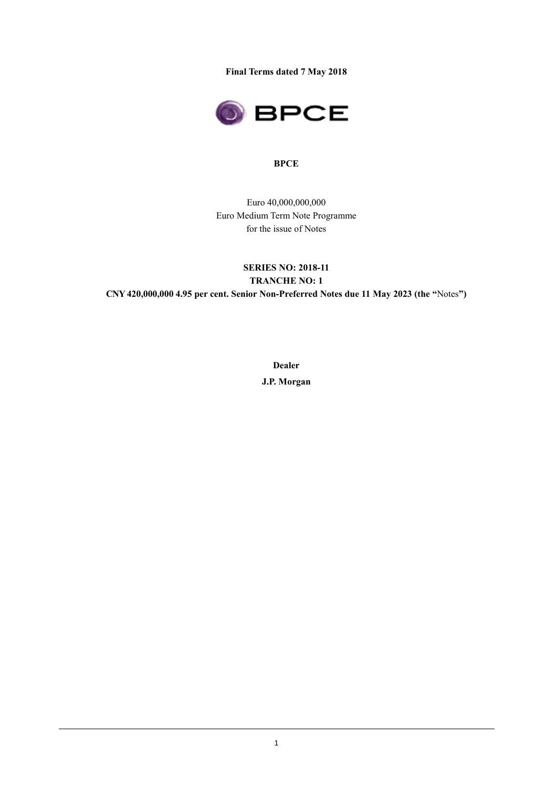**Final Terms dated 7 May 2018**



### **BPCE**

Euro 40,000,000,000 Euro Medium Term Note Programme for the issue of Notes

# **SERIES NO: 2018-11 TRANCHE NO: 1 CNY 420,000,000 4.95 per cent. Senior Non-Preferred Notes due 11 May 2023 (the "**Notes**")**

**Dealer J.P. Morgan**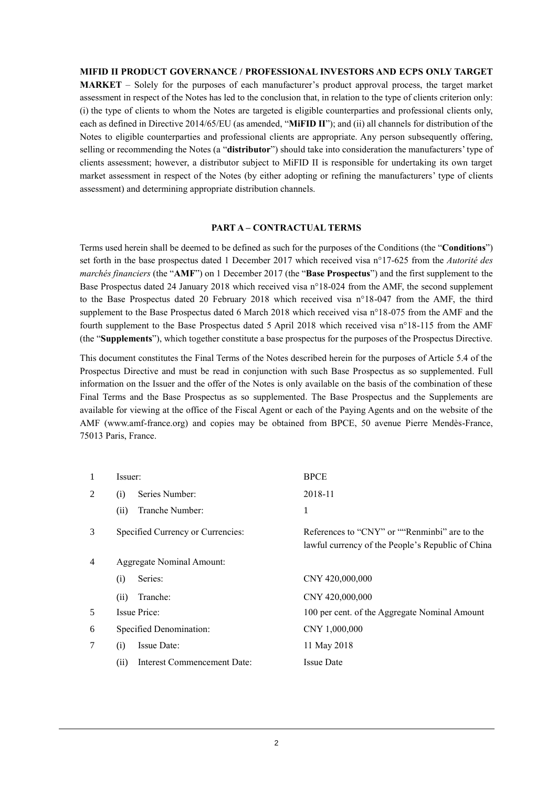### **MIFID II PRODUCT GOVERNANCE / PROFESSIONAL INVESTORS AND ECPS ONLY TARGET**

**MARKET** – Solely for the purposes of each manufacturer's product approval process, the target market assessment in respect of the Notes has led to the conclusion that, in relation to the type of clients criterion only: (i) the type of clients to whom the Notes are targeted is eligible counterparties and professional clients only, each as defined in Directive 2014/65/EU (as amended, "**MiFID II**"); and (ii) all channels for distribution of the Notes to eligible counterparties and professional clients are appropriate. Any person subsequently offering, selling or recommending the Notes (a "**distributor**") should take into consideration the manufacturers' type of clients assessment; however, a distributor subject to MiFID II is responsible for undertaking its own target market assessment in respect of the Notes (by either adopting or refining the manufacturers' type of clients assessment) and determining appropriate distribution channels.

#### **PART A – CONTRACTUAL TERMS**

Terms used herein shall be deemed to be defined as such for the purposes of the Conditions (the "**Conditions**") set forth in the base prospectus dated 1 December 2017 which received visa n°17-625 from the *Autorité des marchés financiers* (the "**AMF**") on 1 December 2017 (the "**Base Prospectus**") and the first supplement to the Base Prospectus dated 24 January 2018 which received visa n°18-024 from the AMF, the second supplement to the Base Prospectus dated 20 February 2018 which received visa n°18-047 from the AMF, the third supplement to the Base Prospectus dated 6 March 2018 which received visa n°18-075 from the AMF and the fourth supplement to the Base Prospectus dated 5 April 2018 which received visa n°18-115 from the AMF (the "**Supplements**"), which together constitute a base prospectus for the purposes of the Prospectus Directive.

This document constitutes the Final Terms of the Notes described herein for the purposes of Article 5.4 of the Prospectus Directive and must be read in conjunction with such Base Prospectus as so supplemented. Full information on the Issuer and the offer of the Notes is only available on the basis of the combination of these Final Terms and the Base Prospectus as so supplemented. The Base Prospectus and the Supplements are available for viewing at the office of the Fiscal Agent or each of the Paying Agents and on the website of the AMF (www.amf-france.org) and copies may be obtained from BPCE, 50 avenue Pierre Mendès-France, 75013 Paris, France.

| 1 | Issuer:                             | <b>BPCE</b>                                                                                        |
|---|-------------------------------------|----------------------------------------------------------------------------------------------------|
| 2 | Series Number:<br>(i)               | 2018-11                                                                                            |
|   | Tranche Number:<br>(ii)             | 1                                                                                                  |
| 3 | Specified Currency or Currencies:   | References to "CNY" or ""Renminbi" are to the<br>lawful currency of the People's Republic of China |
| 4 | <b>Aggregate Nominal Amount:</b>    |                                                                                                    |
|   | Series:<br>(i)                      | CNY 420,000,000                                                                                    |
|   | Tranche:<br>(ii)                    | CNY 420,000,000                                                                                    |
| 5 | <b>Issue Price:</b>                 | 100 per cent. of the Aggregate Nominal Amount                                                      |
| 6 | Specified Denomination:             | CNY 1,000,000                                                                                      |
| 7 | <b>Issue Date:</b><br>(i)           | 11 May 2018                                                                                        |
|   | (ii)<br>Interest Commencement Date: | <b>Issue Date</b>                                                                                  |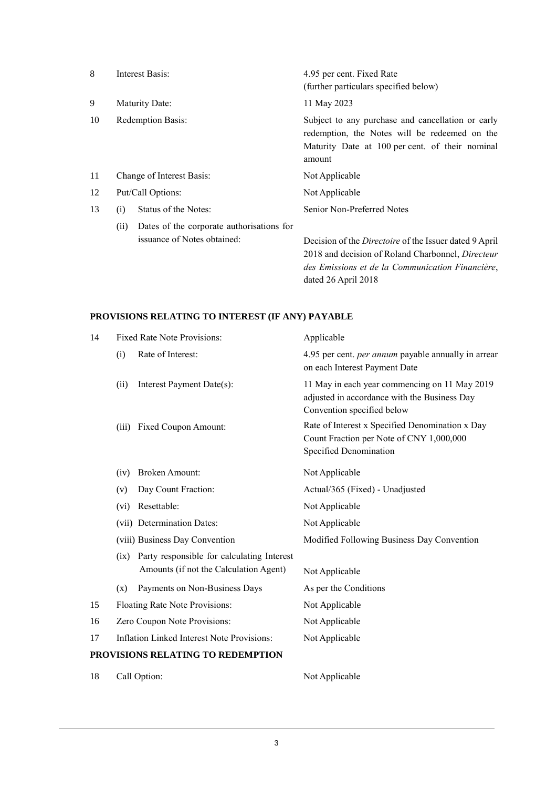| 8  |      | Interest Basis:                                                          | 4.95 per cent. Fixed Rate<br>(further particulars specified below)                                                                                                     |
|----|------|--------------------------------------------------------------------------|------------------------------------------------------------------------------------------------------------------------------------------------------------------------|
| 9  |      | Maturity Date:                                                           | 11 May 2023                                                                                                                                                            |
| 10 |      | <b>Redemption Basis:</b>                                                 | Subject to any purchase and cancellation or early<br>redemption, the Notes will be redeemed on the<br>Maturity Date at 100 per cent. of their nominal<br>amount        |
| 11 |      | Change of Interest Basis:                                                | Not Applicable                                                                                                                                                         |
| 12 |      | Put/Call Options:                                                        | Not Applicable                                                                                                                                                         |
| 13 | (i)  | Status of the Notes:                                                     | Senior Non-Preferred Notes                                                                                                                                             |
|    | (ii) | Dates of the corporate authorisations for<br>issuance of Notes obtained: | Decision of the <i>Directoire</i> of the Issuer dated 9 April<br>2018 and decision of Roland Charbonnel, Directeur<br>des Emissions et de la Communication Financière, |

dated 26 April 2018

# **PROVISIONS RELATING TO INTEREST (IF ANY) PAYABLE**

| 14 |                                | <b>Fixed Rate Note Provisions:</b>                                                   | Applicable                                                                                                                  |  |
|----|--------------------------------|--------------------------------------------------------------------------------------|-----------------------------------------------------------------------------------------------------------------------------|--|
|    | Rate of Interest:<br>(i)       |                                                                                      | 4.95 per cent. <i>per annum</i> payable annually in arrear<br>on each Interest Payment Date                                 |  |
|    | (ii)                           | Interest Payment Date(s):                                                            | 11 May in each year commencing on 11 May 2019<br>adjusted in accordance with the Business Day<br>Convention specified below |  |
|    | (iii)                          | <b>Fixed Coupon Amount:</b>                                                          | Rate of Interest x Specified Denomination x Day<br>Count Fraction per Note of CNY 1,000,000<br>Specified Denomination       |  |
|    | (iv)                           | <b>Broken Amount:</b>                                                                | Not Applicable                                                                                                              |  |
|    | (v)                            | Day Count Fraction:                                                                  | Actual/365 (Fixed) - Unadjusted                                                                                             |  |
|    | (vi)                           | Resettable:                                                                          | Not Applicable                                                                                                              |  |
|    |                                | (vii) Determination Dates:                                                           | Not Applicable                                                                                                              |  |
|    |                                | (viii) Business Day Convention                                                       | Modified Following Business Day Convention                                                                                  |  |
|    | (ix)                           | Party responsible for calculating Interest<br>Amounts (if not the Calculation Agent) | Not Applicable                                                                                                              |  |
|    | (x)                            | Payments on Non-Business Days                                                        | As per the Conditions                                                                                                       |  |
| 15 | Floating Rate Note Provisions: |                                                                                      | Not Applicable                                                                                                              |  |
| 16 | Zero Coupon Note Provisions:   |                                                                                      | Not Applicable                                                                                                              |  |
| 17 |                                | <b>Inflation Linked Interest Note Provisions:</b>                                    | Not Applicable                                                                                                              |  |
|    |                                | PROVISIONS RELATING TO REDEMPTION                                                    |                                                                                                                             |  |
| 18 |                                | Call Option:                                                                         | Not Applicable                                                                                                              |  |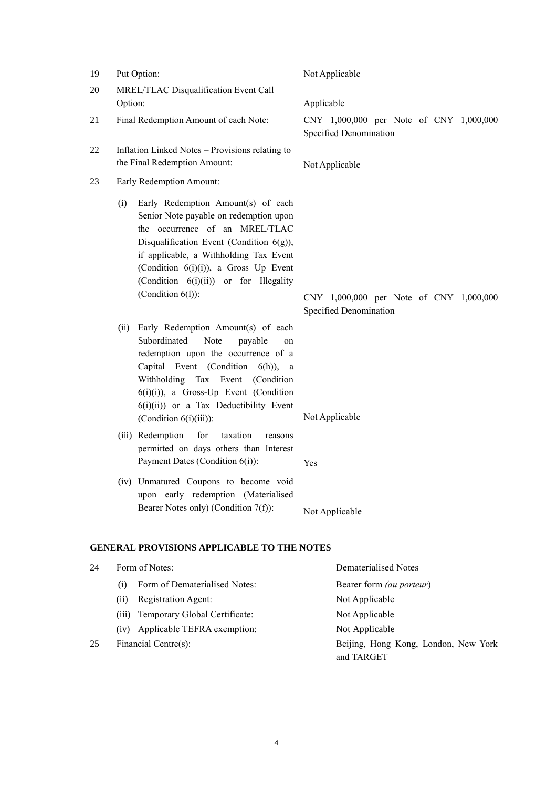| 19 | Put Option:                                                                                                                                                                                                                                                                                                                  | Not Applicable                                                    |  |
|----|------------------------------------------------------------------------------------------------------------------------------------------------------------------------------------------------------------------------------------------------------------------------------------------------------------------------------|-------------------------------------------------------------------|--|
| 20 | MREL/TLAC Disqualification Event Call<br>Option:                                                                                                                                                                                                                                                                             | Applicable                                                        |  |
| 21 | Final Redemption Amount of each Note:                                                                                                                                                                                                                                                                                        | CNY 1,000,000 per Note of CNY 1,000,000<br>Specified Denomination |  |
| 22 | Inflation Linked Notes - Provisions relating to<br>the Final Redemption Amount:                                                                                                                                                                                                                                              | Not Applicable                                                    |  |
| 23 | <b>Early Redemption Amount:</b>                                                                                                                                                                                                                                                                                              |                                                                   |  |
|    | Early Redemption Amount(s) of each<br>(i)<br>Senior Note payable on redemption upon<br>the occurrence of an MREL/TLAC<br>Disqualification Event (Condition $6(g)$ ),<br>if applicable, a Withholding Tax Event<br>(Condition $6(i)(i)$ ), a Gross Up Event<br>(Condition 6(i)(ii)) or for Illegality<br>(Condition $6(l)$ ): | CNY 1,000,000 per Note of CNY 1,000,000<br>Specified Denomination |  |
|    | Early Redemption Amount(s) of each<br>(ii)<br>Subordinated<br>Note<br>payable<br>redemption upon the occurrence of a<br>Capital Event (Condition 6(h)), a<br>Withholding Tax Event (Condition<br>$6(i)(i)$ , a Gross-Up Event (Condition<br>$6(i)(ii)$ or a Tax Deductibility Event<br>(Condition $6(i)(iii)$ ):             | on<br>Not Applicable                                              |  |
|    | (iii) Redemption<br>for<br>taxation<br>reasons<br>permitted on days others than Interest<br>Payment Dates (Condition 6(i)):                                                                                                                                                                                                  | Yes                                                               |  |
|    | (iv) Unmatured Coupons to become void<br>upon early redemption (Materialised<br>Bearer Notes only) (Condition 7(f)):                                                                                                                                                                                                         | Not Applicable                                                    |  |
|    | <b>GENERAL PROVISIONS APPLICABLE TO THE NOTES</b>                                                                                                                                                                                                                                                                            |                                                                   |  |
| 24 | Form of Notes:                                                                                                                                                                                                                                                                                                               | <b>Dematerialised Notes</b>                                       |  |
|    | Form of Dematerialised Notes:<br>(i)<br>Registration Agent:<br>(ii)                                                                                                                                                                                                                                                          | Bearer form (au porteur)<br>Not Applicable                        |  |

- (iii) Temporary Global Certificate: Not Applicable
- (iv) Applicable TEFRA exemption: Not Applicable
- 25 Financial Centre(s): Beijing, Hong Kong, London, New York

and TARGET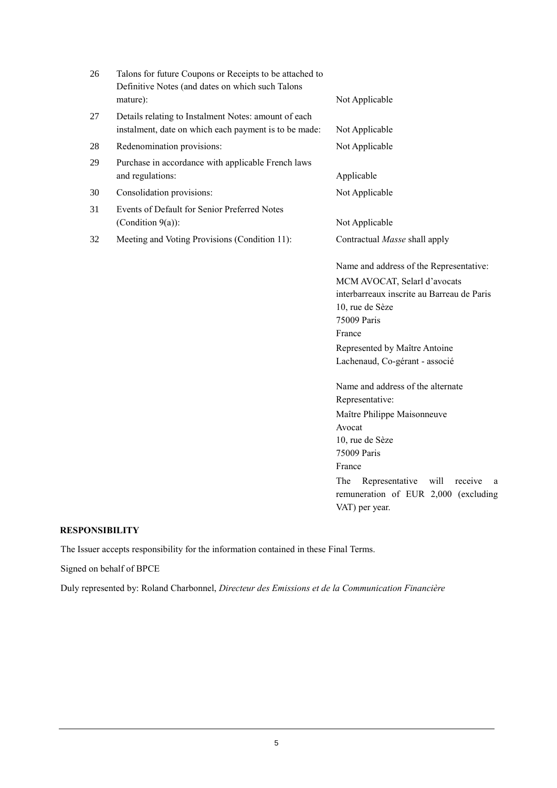| 26 | Talons for future Coupons or Receipts to be attached to<br>Definitive Notes (and dates on which such Talons<br>mature): | Not Applicable                                                                                                                                                                                                                                       |
|----|-------------------------------------------------------------------------------------------------------------------------|------------------------------------------------------------------------------------------------------------------------------------------------------------------------------------------------------------------------------------------------------|
| 27 | Details relating to Instalment Notes: amount of each<br>instalment, date on which each payment is to be made:           | Not Applicable                                                                                                                                                                                                                                       |
| 28 | Redenomination provisions:                                                                                              | Not Applicable                                                                                                                                                                                                                                       |
| 29 | Purchase in accordance with applicable French laws<br>and regulations:                                                  | Applicable                                                                                                                                                                                                                                           |
| 30 | Consolidation provisions:                                                                                               | Not Applicable                                                                                                                                                                                                                                       |
| 31 | Events of Default for Senior Preferred Notes<br>(Condition 9(a)):                                                       | Not Applicable                                                                                                                                                                                                                                       |
| 32 | Meeting and Voting Provisions (Condition 11):                                                                           | Contractual Masse shall apply                                                                                                                                                                                                                        |
|    |                                                                                                                         | Name and address of the Representative:<br>MCM AVOCAT, Selarl d'avocats<br>interbarreaux inscrite au Barreau de Paris<br>10, rue de Sèze<br>75009 Paris<br>France<br>Represented by Maître Antoine<br>Lachenaud, Co-gérant - associé                 |
|    |                                                                                                                         | Name and address of the alternate<br>Representative:<br>Maître Philippe Maisonneuve<br>Avocat<br>10, rue de Sèze<br>75009 Paris<br>France<br>The<br>Representative<br>will<br>receive<br>a<br>remuneration of EUR 2,000 (excluding<br>VAT) per year. |

## **RESPONSIBILITY**

The Issuer accepts responsibility for the information contained in these Final Terms.

Signed on behalf of BPCE

Duly represented by: Roland Charbonnel, *Directeur des Emissions et de la Communication Financière*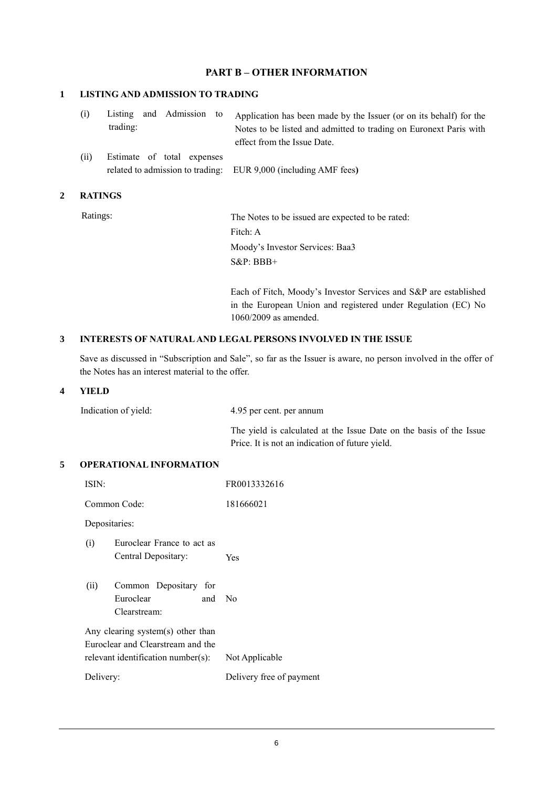## **PART B – OTHER INFORMATION**

### **1 LISTING AND ADMISSION TO TRADING**

| (i) |          |  | Listing and Admission to Application has been made by the Issuer (or on its behalf) for the |
|-----|----------|--|---------------------------------------------------------------------------------------------|
|     | trading: |  | Notes to be listed and admitted to trading on Euronext Paris with                           |
|     |          |  | effect from the Issue Date.                                                                 |

(ii) Estimate of total expenses related to admission to trading: EUR 9,000 (including AMF fees**)**

### **2 RATINGS**

Ratings: The Notes to be issued are expected to be rated: Fitch: A Moody's Investor Services: Baa3 S&P: BBB+

> Each of Fitch, Moody's Investor Services and S&P are established in the European Union and registered under Regulation (EC) No 1060/2009 as amended.

#### **3 INTERESTS OF NATURAL AND LEGAL PERSONS INVOLVED IN THE ISSUE**

Save as discussed in "Subscription and Sale", so far as the Issuer is aware, no person involved in the offer of the Notes has an interest material to the offer.

#### **4 YIELD**

| Indication of yield: | 4.95 per cent. per annum |  |  |
|----------------------|--------------------------|--|--|
|                      | $-1$ $-1$ $-1$ $-1$ $-1$ |  |  |

The yield is calculated at the Issue Date on the basis of the Issue Price. It is not an indication of future yield.

### **5 OPERATIONAL INFORMATION**

| ISIN:         |                                                                                                              | FR0013332616             |  |
|---------------|--------------------------------------------------------------------------------------------------------------|--------------------------|--|
|               | Common Code:                                                                                                 | 181666021                |  |
| Depositaries: |                                                                                                              |                          |  |
| (i)           | Euroclear France to act as<br>Central Depositary:                                                            | Yes                      |  |
| (ii)          | Common Depositary for<br>Euroclear<br>and No<br>Clearstream:                                                 |                          |  |
|               | Any clearing system(s) other than<br>Euroclear and Clearstream and the<br>relevant identification number(s): | Not Applicable           |  |
| Delivery:     |                                                                                                              | Delivery free of payment |  |